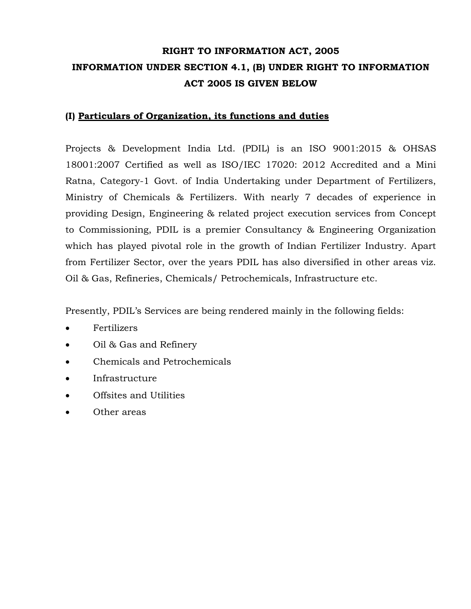# **RIGHT TO INFORMATION ACT, 2005 INFORMATION UNDER SECTION 4.1, (B) UNDER RIGHT TO INFORMATION ACT 2005 IS GIVEN BELOW**

# **(I) Particulars of Organization, its functions and duties**

Projects & Development India Ltd. (PDIL) is an ISO 9001:2015 & OHSAS 18001:2007 Certified as well as ISO/IEC 17020: 2012 Accredited and a Mini Ratna, Category-1 Govt. of India Undertaking under Department of Fertilizers, Ministry of Chemicals & Fertilizers. With nearly 7 decades of experience in providing Design, Engineering & related project execution services from Concept to Commissioning, PDIL is a premier Consultancy & Engineering Organization which has played pivotal role in the growth of Indian Fertilizer Industry. Apart from Fertilizer Sector, over the years PDIL has also diversified in other areas viz. Oil & Gas, Refineries, Chemicals/ Petrochemicals, Infrastructure etc.

Presently, PDIL's Services are being rendered mainly in the following fields:

- Fertilizers
- Oil & Gas and Refinery
- Chemicals and Petrochemicals
- Infrastructure
- Offsites and Utilities
- Other areas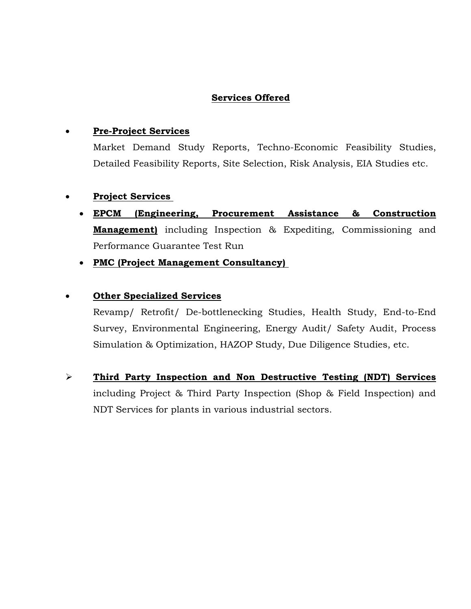# **Services Offered**

### **Pre-Project Services**

Market Demand Study Reports, Techno-Economic Feasibility Studies, Detailed Feasibility Reports, Site Selection, Risk Analysis, EIA Studies etc.

# **Project Services**

- **EPCM (Engineering, Procurement Assistance & Construction Management)** including Inspection & Expediting, Commissioning and Performance Guarantee Test Run
- **PMC (Project Management Consultancy)**

# **Other Specialized Services**

Revamp/ Retrofit/ De-bottlenecking Studies, Health Study, End-to-End Survey, Environmental Engineering, Energy Audit/ Safety Audit, Process Simulation & Optimization, HAZOP Study, Due Diligence Studies, etc.

 **Third Party Inspection and Non Destructive Testing (NDT) Services** including Project & Third Party Inspection (Shop & Field Inspection) and NDT Services for plants in various industrial sectors.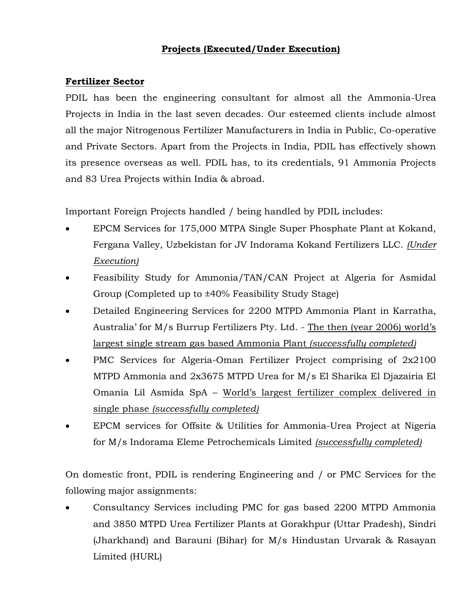# **Projects (Executed/Under Execution)**

### **Fertilizer Sector**

PDIL has been the engineering consultant for almost all the Ammonia-Urea Projects in India in the last seven decades. Our esteemed clients include almost all the major Nitrogenous Fertilizer Manufacturers in India in Public, Co-operative and Private Sectors. Apart from the Projects in India, PDIL has effectively shown its presence overseas as well. PDIL has, to its credentials, 91 Ammonia Projects and 83 Urea Projects within India & abroad.

Important Foreign Projects handled / being handled by PDIL includes:

- EPCM Services for 175,000 MTPA Single Super Phosphate Plant at Kokand, Fergana Valley, Uzbekistan for JV Indorama Kokand Fertilizers LLC. *(Under Execution)*
- Feasibility Study for Ammonia/TAN/CAN Project at Algeria for Asmidal Group (Completed up to ±40% Feasibility Study Stage)
- Detailed Engineering Services for 2200 MTPD Ammonia Plant in Karratha, Australia' for M/s Burrup Fertilizers Pty. Ltd. - The then (year 2006) world's largest single stream gas based Ammonia Plant *(successfully completed)*
- PMC Services for Algeria-Oman Fertilizer Project comprising of 2x2100 MTPD Ammonia and 2x3675 MTPD Urea for M/s El Sharika El Djazairia El Omania Lil Asmida SpA – World's largest fertilizer complex delivered in single phase *(successfully completed)*
- EPCM services for Offsite & Utilities for Ammonia-Urea Project at Nigeria for M/s Indorama Eleme Petrochemicals Limited *(successfully completed)*

On domestic front, PDIL is rendering Engineering and / or PMC Services for the following major assignments:

 Consultancy Services including PMC for gas based 2200 MTPD Ammonia and 3850 MTPD Urea Fertilizer Plants at Gorakhpur (Uttar Pradesh), Sindri (Jharkhand) and Barauni (Bihar) for M/s Hindustan Urvarak & Rasayan Limited (HURL)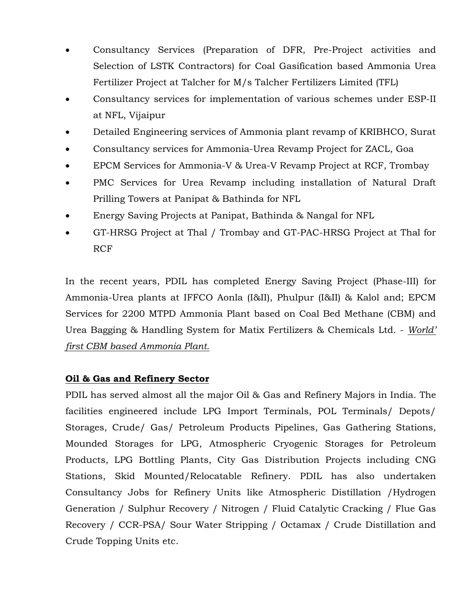- Consultancy Services (Preparation of DFR, Pre-Project activities and Selection of LSTK Contractors) for Coal Gasification based Ammonia Urea Fertilizer Project at Talcher for M/s Talcher Fertilizers Limited (TFL)
- Consultancy services for implementation of various schemes under ESP-II at NFL, Vijaipur
- Detailed Engineering services of Ammonia plant revamp of KRIBHCO, Surat
- Consultancy services for Ammonia-Urea Revamp Project for ZACL, Goa
- EPCM Services for Ammonia-V & Urea-V Revamp Project at RCF, Trombay
- PMC Services for Urea Revamp including installation of Natural Draft Prilling Towers at Panipat & Bathinda for NFL
- Energy Saving Projects at Panipat, Bathinda & Nangal for NFL
- GT-HRSG Project at Thal / Trombay and GT-PAC-HRSG Project at Thal for RCF

In the recent years, PDIL has completed Energy Saving Project (Phase-III) for Ammonia-Urea plants at IFFCO Aonla (I&II), Phulpur (I&II) & Kalol and; EPCM Services for 2200 MTPD Ammonia Plant based on Coal Bed Methane (CBM) and Urea Bagging & Handling System for Matix Fertilizers & Chemicals Ltd. - *World' first CBM based Ammonia Plant.*

# **Oil & Gas and Refinery Sector**

PDIL has served almost all the major Oil & Gas and Refinery Majors in India. The facilities engineered include LPG Import Terminals, POL Terminals/ Depots/ Storages, Crude/ Gas/ Petroleum Products Pipelines, Gas Gathering Stations, Mounded Storages for LPG, Atmospheric Cryogenic Storages for Petroleum Products, LPG Bottling Plants, City Gas Distribution Projects including CNG Stations, Skid Mounted/Relocatable Refinery. PDIL has also undertaken Consultancy Jobs for Refinery Units like Atmospheric Distillation /Hydrogen Generation / Sulphur Recovery / Nitrogen / Fluid Catalytic Cracking / Flue Gas Recovery / CCR-PSA/ Sour Water Stripping / Octamax / Crude Distillation and Crude Topping Units etc.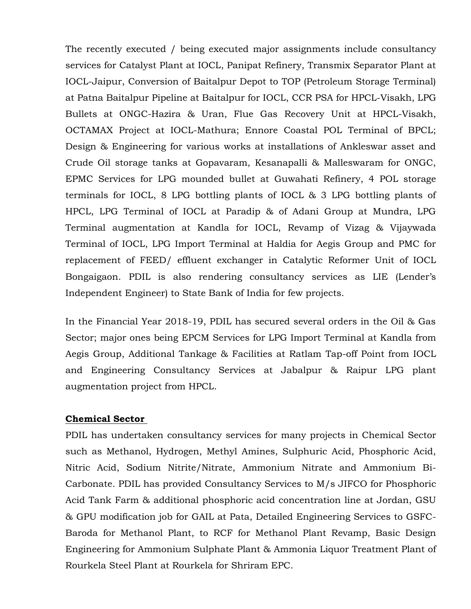The recently executed / being executed major assignments include consultancy services for Catalyst Plant at IOCL, Panipat Refinery, Transmix Separator Plant at IOCL-Jaipur, Conversion of Baitalpur Depot to TOP (Petroleum Storage Terminal) at Patna Baitalpur Pipeline at Baitalpur for IOCL, CCR PSA for HPCL-Visakh, LPG Bullets at ONGC-Hazira & Uran, Flue Gas Recovery Unit at HPCL-Visakh, OCTAMAX Project at IOCL-Mathura; Ennore Coastal POL Terminal of BPCL; Design & Engineering for various works at installations of Ankleswar asset and Crude Oil storage tanks at Gopavaram, Kesanapalli & Malleswaram for ONGC, EPMC Services for LPG mounded bullet at Guwahati Refinery, 4 POL storage terminals for IOCL, 8 LPG bottling plants of IOCL & 3 LPG bottling plants of HPCL, LPG Terminal of IOCL at Paradip & of Adani Group at Mundra, LPG Terminal augmentation at Kandla for IOCL, Revamp of Vizag & Vijaywada Terminal of IOCL, LPG Import Terminal at Haldia for Aegis Group and PMC for replacement of FEED/ effluent exchanger in Catalytic Reformer Unit of IOCL Bongaigaon. PDIL is also rendering consultancy services as LIE (Lender's Independent Engineer) to State Bank of India for few projects.

In the Financial Year 2018-19, PDIL has secured several orders in the Oil & Gas Sector; major ones being EPCM Services for LPG Import Terminal at Kandla from Aegis Group, Additional Tankage & Facilities at Ratlam Tap-off Point from IOCL and Engineering Consultancy Services at Jabalpur & Raipur LPG plant augmentation project from HPCL.

#### **Chemical Sector**

PDIL has undertaken consultancy services for many projects in Chemical Sector such as Methanol, Hydrogen, Methyl Amines, Sulphuric Acid, Phosphoric Acid, Nitric Acid, Sodium Nitrite/Nitrate, Ammonium Nitrate and Ammonium Bi-Carbonate. PDIL has provided Consultancy Services to M/s JIFCO for Phosphoric Acid Tank Farm & additional phosphoric acid concentration line at Jordan, GSU & GPU modification job for GAIL at Pata, Detailed Engineering Services to GSFC-Baroda for Methanol Plant, to RCF for Methanol Plant Revamp, Basic Design Engineering for Ammonium Sulphate Plant & Ammonia Liquor Treatment Plant of Rourkela Steel Plant at Rourkela for Shriram EPC.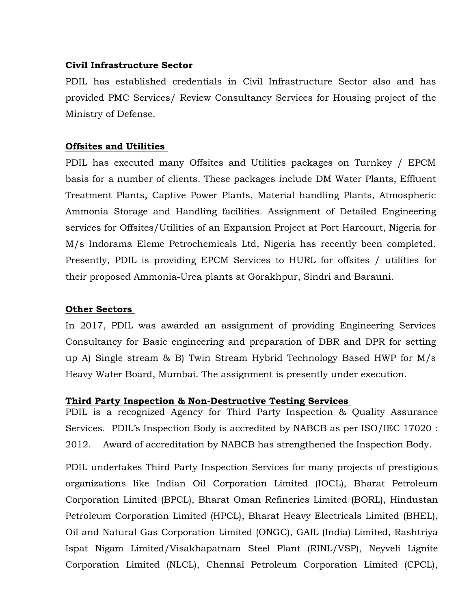#### **Civil Infrastructure Sector**

PDIL has established credentials in Civil Infrastructure Sector also and has provided PMC Services/ Review Consultancy Services for Housing project of the Ministry of Defense.

#### **Offsites and Utilities**

PDIL has executed many Offsites and Utilities packages on Turnkey / EPCM basis for a number of clients. These packages include DM Water Plants, Effluent Treatment Plants, Captive Power Plants, Material handling Plants, Atmospheric Ammonia Storage and Handling facilities. Assignment of Detailed Engineering services for Offsites/Utilities of an Expansion Project at Port Harcourt, Nigeria for M/s Indorama Eleme Petrochemicals Ltd, Nigeria has recently been completed. Presently, PDIL is providing EPCM Services to HURL for offsites / utilities for their proposed Ammonia-Urea plants at Gorakhpur, Sindri and Barauni.

# **Other Sectors**

In 2017, PDIL was awarded an assignment of providing Engineering Services Consultancy for Basic engineering and preparation of DBR and DPR for setting up A) Single stream & B) Twin Stream Hybrid Technology Based HWP for M/s Heavy Water Board, Mumbai. The assignment is presently under execution.

#### **Third Party Inspection & Non-Destructive Testing Services**

PDIL is a recognized Agency for Third Party Inspection & Quality Assurance Services. PDIL's Inspection Body is accredited by NABCB as per ISO/IEC 17020 : 2012. Award of accreditation by NABCB has strengthened the Inspection Body.

PDIL undertakes Third Party Inspection Services for many projects of prestigious organizations like Indian Oil Corporation Limited (IOCL), Bharat Petroleum Corporation Limited (BPCL), Bharat Oman Refineries Limited (BORL), Hindustan Petroleum Corporation Limited (HPCL), Bharat Heavy Electricals Limited (BHEL), Oil and Natural Gas Corporation Limited (ONGC), GAIL (India) Limited, Rashtriya Ispat Nigam Limited/Visakhapatnam Steel Plant (RINL/VSP), Neyveli Lignite Corporation Limited (NLCL), Chennai Petroleum Corporation Limited (CPCL),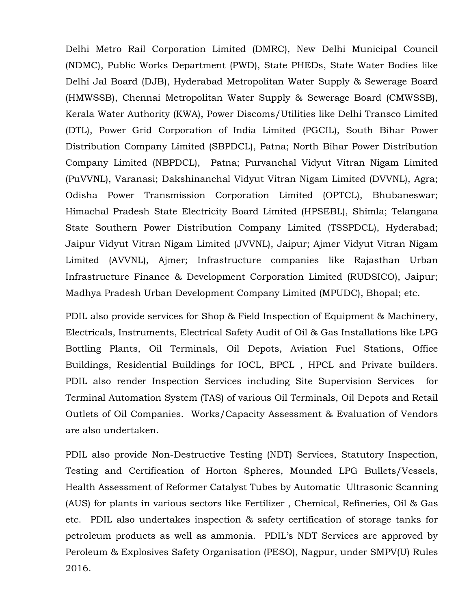Delhi Metro Rail Corporation Limited (DMRC), New Delhi Municipal Council (NDMC), Public Works Department (PWD), State PHEDs, State Water Bodies like Delhi Jal Board (DJB), Hyderabad Metropolitan Water Supply & Sewerage Board (HMWSSB), Chennai Metropolitan Water Supply & Sewerage Board (CMWSSB), Kerala Water Authority (KWA), Power Discoms/Utilities like Delhi Transco Limited (DTL), Power Grid Corporation of India Limited (PGCIL), South Bihar Power Distribution Company Limited (SBPDCL), Patna; North Bihar Power Distribution Company Limited (NBPDCL), Patna; Purvanchal Vidyut Vitran Nigam Limited (PuVVNL), Varanasi; Dakshinanchal Vidyut Vitran Nigam Limited (DVVNL), Agra; Odisha Power Transmission Corporation Limited (OPTCL), Bhubaneswar; Himachal Pradesh State Electricity Board Limited (HPSEBL), Shimla; Telangana State Southern Power Distribution Company Limited (TSSPDCL), Hyderabad; Jaipur Vidyut Vitran Nigam Limited (JVVNL), Jaipur; Ajmer Vidyut Vitran Nigam Limited (AVVNL), Ajmer; Infrastructure companies like Rajasthan Urban Infrastructure Finance & Development Corporation Limited (RUDSICO), Jaipur; Madhya Pradesh Urban Development Company Limited (MPUDC), Bhopal; etc.

PDIL also provide services for Shop & Field Inspection of Equipment & Machinery, Electricals, Instruments, Electrical Safety Audit of Oil & Gas Installations like LPG Bottling Plants, Oil Terminals, Oil Depots, Aviation Fuel Stations, Office Buildings, Residential Buildings for IOCL, BPCL , HPCL and Private builders. PDIL also render Inspection Services including Site Supervision Services for Terminal Automation System (TAS) of various Oil Terminals, Oil Depots and Retail Outlets of Oil Companies. Works/Capacity Assessment & Evaluation of Vendors are also undertaken.

PDIL also provide Non-Destructive Testing (NDT) Services, Statutory Inspection, Testing and Certification of Horton Spheres, Mounded LPG Bullets/Vessels, Health Assessment of Reformer Catalyst Tubes by Automatic Ultrasonic Scanning (AUS) for plants in various sectors like Fertilizer , Chemical, Refineries, Oil & Gas etc. PDIL also undertakes inspection & safety certification of storage tanks for petroleum products as well as ammonia. PDIL's NDT Services are approved by Peroleum & Explosives Safety Organisation (PESO), Nagpur, under SMPV(U) Rules 2016.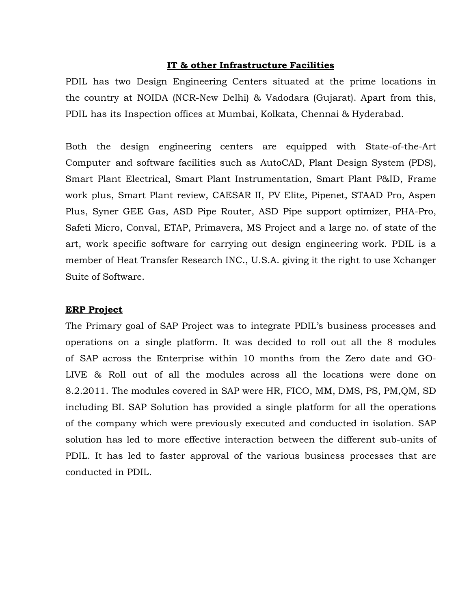#### **IT & other Infrastructure Facilities**

PDIL has two Design Engineering Centers situated at the prime locations in the country at NOIDA (NCR-New Delhi) & Vadodara (Gujarat). Apart from this, PDIL has its Inspection offices at Mumbai, Kolkata, Chennai & Hyderabad.

Both the design engineering centers are equipped with State-of-the-Art Computer and software facilities such as AutoCAD, Plant Design System (PDS), Smart Plant Electrical, Smart Plant Instrumentation, Smart Plant P&ID, Frame work plus, Smart Plant review, CAESAR II, PV Elite, Pipenet, STAAD Pro, Aspen Plus, Syner GEE Gas, ASD Pipe Router, ASD Pipe support optimizer, PHA-Pro, Safeti Micro, Conval, ETAP, Primavera, MS Project and a large no. of state of the art, work specific software for carrying out design engineering work. PDIL is a member of Heat Transfer Research INC., U.S.A. giving it the right to use Xchanger Suite of Software.

#### **ERP Project**

The Primary goal of SAP Project was to integrate PDIL's business processes and operations on a single platform. It was decided to roll out all the 8 modules of SAP across the Enterprise within 10 months from the Zero date and GO-LIVE & Roll out of all the modules across all the locations were done on 8.2.2011. The modules covered in SAP were HR, FICO, MM, DMS, PS, PM,QM, SD including BI. SAP Solution has provided a single platform for all the operations of the company which were previously executed and conducted in isolation. SAP solution has led to more effective interaction between the different sub-units of PDIL. It has led to faster approval of the various business processes that are conducted in PDIL.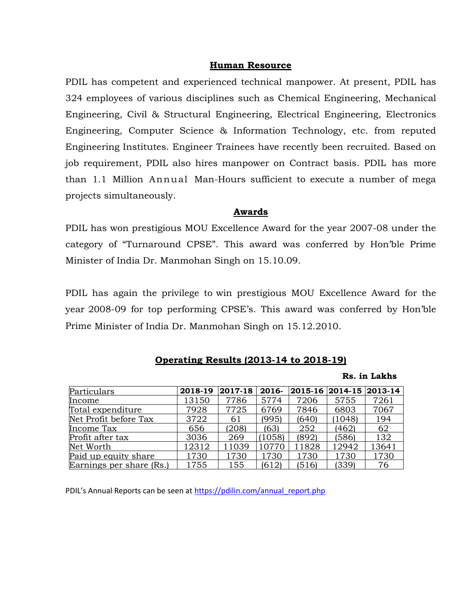#### **Human Resource**

PDIL has competent and experienced technical manpower. At present, PDIL has 324 employees of various disciplines such as Chemical Engineering, Mechanical Engineering, Civil & Structural Engineering, Electrical Engineering, Electronics Engineering, Computer Science & Information Technology, etc. from reputed Engineering Institutes. Engineer Trainees have recently been recruited. Based on job requirement, PDIL also hires manpower on Contract basis. PDIL has more than 1.1 Million Annual Man-Hours sufficient to execute a number of mega projects simultaneously.

#### **Awards**

PDIL has won prestigious MOU Excellence Award for the year 2007-08 under the category of "Turnaround CPSE". This award was conferred by Hon'ble Prime Minister of India Dr. Manmohan Singh on 15.10.09.

PDIL has again the privilege to win prestigious MOU Excellence Award for the year 2008-09 for top performing CPSE's. This award was conferred by Hon'ble Prime Minister of India Dr. Manmohan Singh on 15.12.2010.

| Particulars              | 2018-19 | 2017-18 | 2016-  | 2015-16   2014-15 |        | $ 2013-14$ |
|--------------------------|---------|---------|--------|-------------------|--------|------------|
| Income                   | 13150   | 7786    | 5774   | 7206              | 5755   | 7261       |
| Total expenditure        | 7928    | 7725    | 6769   | 7846              | 6803   | 7067       |
| Net Profit before Tax    | 3722    | 61      | (995)  | (640)             | (1048) | 194        |
| Income Tax               | 656     | (208)   | (63)   | 252               | (462)  | 62         |
| Profit after tax         | 3036    | 269     | (1058) | (892)             | (586)  | 132        |
| Net Worth                | 12312   | 11039   | 10770  | 11828             | 12942  | 13641      |
| Paid up equity share     | 1730    | 1730    | 1730   | 1730              | 1730   | 1730       |
| Earnings per share (Rs.) | 1755    | 155     | (612)  | (516)             | (339)  | 76         |

#### **Operating Results (2013-14 to 2018-19)**

#### **Rs. in Lakhs**

PDIL's Annual Reports can be seen at [https://pdilin.com/annual\\_report.php](https://pdilin.com/annual_report.php)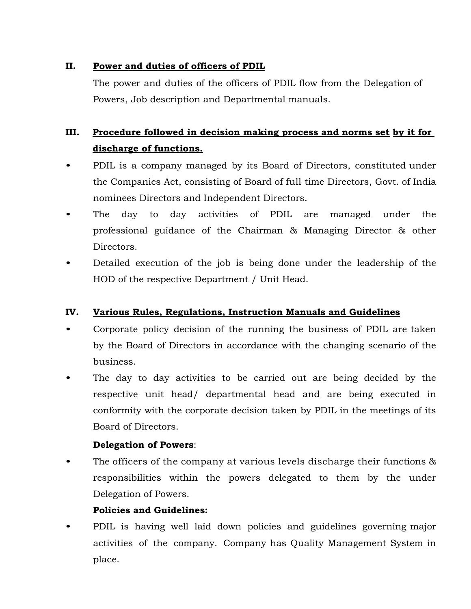# **II. Power and duties of officers of PDIL**

The power and duties of the officers of PDIL flow from the Delegation of Powers, Job description and Departmental manuals.

# **III. Procedure followed in decision making process and norms set by it for discharge of functions.**

- PDIL is a company managed by its Board of Directors, constituted under the Companies Act, consisting of Board of full time Directors, Govt. of India nominees Directors and Independent Directors.
- The day to day activities of PDIL are managed under the professional guidance of the Chairman & Managing Director & other Directors.
- Detailed execution of the job is being done under the leadership of the HOD of the respective Department / Unit Head.

# **IV. Various Rules, Regulations, Instruction Manuals and Guidelines**

- Corporate policy decision of the running the business of PDIL are taken by the Board of Directors in accordance with the changing scenario of the business.
- The day to day activities to be carried out are being decided by the respective unit head/ departmental head and are being executed in conformity with the corporate decision taken by PDIL in the meetings of its Board of Directors.

# **Delegation of Powers**:

The officers of the company at various levels discharge their functions  $\&$ responsibilities within the powers delegated to them by the under Delegation of Powers.

# **Policies and Guidelines:**

• PDIL is having well laid down policies and guidelines governing major activities of the company. Company has Quality Management System in place.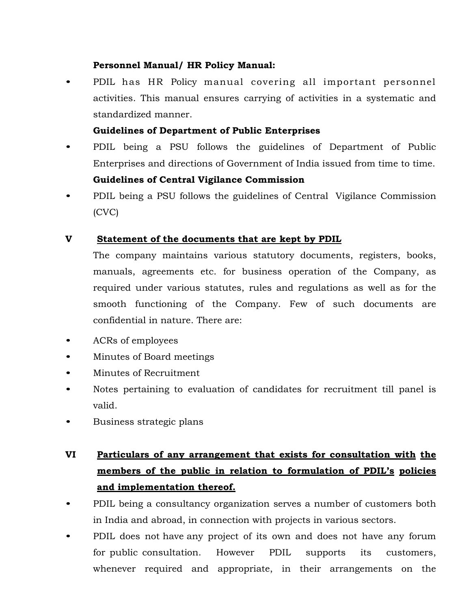# **Personnel Manual/ HR Policy Manual:**

• PDIL has HR Policy manual covering all important personnel activities. This manual ensures carrying of activities in a systematic and standardized manner.

### **Guidelines of Department of Public Enterprises**

- PDIL being a PSU follows the guidelines of Department of Public Enterprises and directions of Government of India issued from time to time. **Guidelines of Central Vigilance Commission**
- PDIL being a PSU follows the guidelines of Central Vigilance Commission (CVC)

### **V Statement of the documents that are kept by PDIL**

The company maintains various statutory documents, registers, books, manuals, agreements etc. for business operation of the Company, as required under various statutes, rules and regulations as well as for the smooth functioning of the Company. Few of such documents are confidential in nature. There are:

- ACRs of employees
- Minutes of Board meetings
- Minutes of Recruitment
- Notes pertaining to evaluation of candidates for recruitment till panel is valid.
- Business strategic plans

# **VI Particulars of any arrangement that exists for consultation with the members of the public in relation to formulation of PDIL's policies and implementation thereof.**

- PDIL being a consultancy organization serves a number of customers both in India and abroad, in connection with projects in various sectors.
- PDIL does not have any project of its own and does not have any forum for public consultation. However PDIL supports its customers, whenever required and appropriate, in their arrangements on the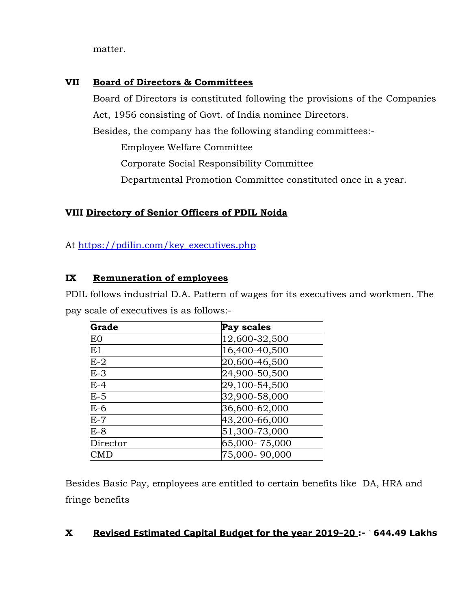matter.

# **VII Board of Directors & Committees**

Board of Directors is constituted following the provisions of the Companies Act, 1956 consisting of Govt. of India nominee Directors.

Besides, the company has the following standing committees:-

Employee Welfare Committee

Corporate Social Responsibility Committee

Departmental Promotion Committee constituted once in a year.

# **VIII Directory of Senior Officers of PDIL Noida**

At [https://pdilin.com/key\\_executives.php](https://pdilin.com/key_executives.php)

# **IX Remuneration of employees**

PDIL follows industrial D.A. Pattern of wages for its executives and workmen. The pay scale of executives is as follows:-

| Grade      | Pay scales    |
|------------|---------------|
| E0         | 12,600-32,500 |
| $\rm E1$   | 16,400-40,500 |
| $E-2$      | 20,600-46,500 |
| $E-3$      | 24,900-50,500 |
| $E-4$      | 29,100-54,500 |
| $E-5$      | 32,900-58,000 |
| $E-6$      | 36,600-62,000 |
| $E-7$      | 43,200-66,000 |
| E-8        | 51,300-73,000 |
| Director   | 65,000-75,000 |
| <b>CMD</b> | 75,000-90,000 |

Besides Basic Pay, employees are entitled to certain benefits like DA, HRA and fringe benefits

# **X Revised Estimated Capital Budget for the year 2019-20 :-** ` **644.49 Lakhs**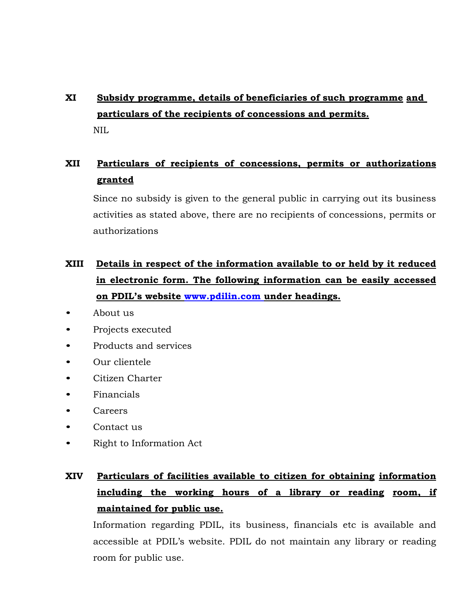# **XI Subsidy programme, details of beneficiaries of such programme and particulars of the recipients of concessions and permits.** NIL

# **XII Particulars of recipients of concessions, permits or authorizations granted**

Since no subsidy is given to the general public in carrying out its business activities as stated above, there are no recipients of concessions, permits or authorizations

# **XIII Details in respect of the information available to or held by it reduced in electronic form. The following information can be easily accessed on PDIL's website [www.pdilin.com u](http://www.pdilin.com/)nder headings.**

- About us
- Projects executed
- Products and services
- Our clientele
- Citizen Charter
- Financials
- Careers
- Contact us
- Right to Information Act

# **XIV Particulars of facilities available to citizen for obtaining information including the working hours of a library or reading room, if maintained for public use.**

Information regarding PDIL, its business, financials etc is available and accessible at PDIL's website. PDIL do not maintain any library or reading room for public use.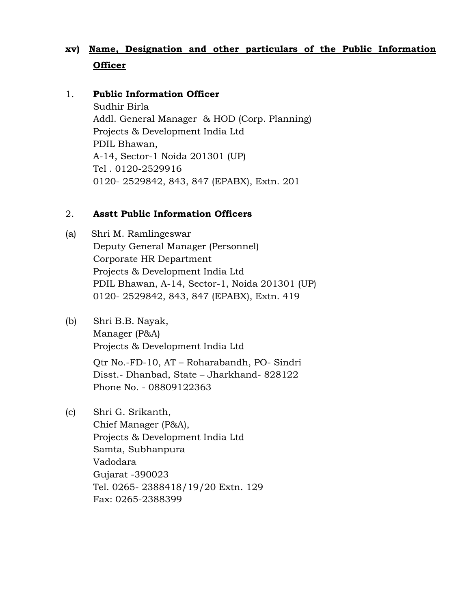# **xv) Name, Designation and other particulars of the Public Information Officer**

#### 1. **Public Information Officer**

Sudhir Birla Addl. General Manager & HOD (Corp. Planning) Projects & Development India Ltd PDIL Bhawan, A-14, Sector-1 Noida 201301 (UP) Tel . 0120-2529916 0120- 2529842, 843, 847 (EPABX), Extn. 201

#### 2. **Asstt Public Information Officers**

- (a) Shri M. Ramlingeswar Deputy General Manager (Personnel) Corporate HR Department Projects & Development India Ltd PDIL Bhawan, A-14, Sector-1, Noida 201301 (UP) 0120- 2529842, 843, 847 (EPABX), Extn. 419
- (b) Shri B.B. Nayak, Manager (P&A) Projects & Development India Ltd Qtr No.-FD-10, AT – Roharabandh, PO- Sindri Disst.- Dhanbad, State – Jharkhand- 828122 Phone No. - 08809122363
- (c) Shri G. Srikanth, Chief Manager (P&A), Projects & Development India Ltd Samta, Subhanpura Vadodara Gujarat -390023 Tel. 0265- 2388418/19/20 Extn. 129 Fax: 0265-2388399